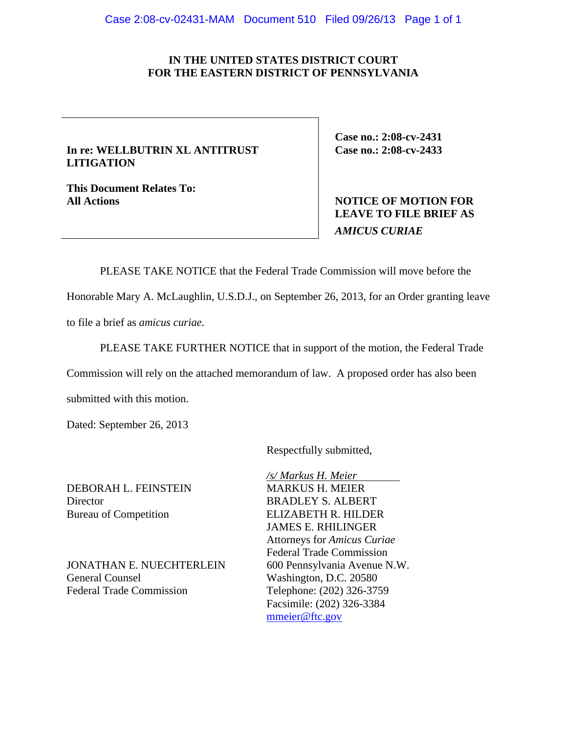## **IN THE UNITED STATES DISTRICT COURT FOR THE EASTERN DISTRICT OF PENNSYLVANIA**

## **In re: WELLBUTRIN XL ANTITRUST LITIGATION**

**This Document Relates To:** 

**Case no.: 2:08-cv-2431 Case no.: 2:08-cv-2433** 

# **All Actions NOTICE OF MOTION FOR LEAVE TO FILE BRIEF AS**  *AMICUS CURIAE*

PLEASE TAKE NOTICE that the Federal Trade Commission will move before the

Honorable Mary A. McLaughlin, U.S.D.J., on September 26, 2013, for an Order granting leave

to file a brief as *amicus curiae.* 

PLEASE TAKE FURTHER NOTICE that in support of the motion, the Federal Trade

Commission will rely on the attached memorandum of law. A proposed order has also been

submitted with this motion.

Dated: September 26, 2013

Respectfully submitted,

DEBORAH L. FEINSTEIN MARKUS H. MEIER Director BRADLEY S. ALBERT

JONATHAN E. NUECHTERLEIN 600 Pennsylvania Avenue N.W. General Counsel Washington, D.C. 20580 Federal Trade Commission Telephone: (202) 326-3759

 */s/ Markus H. Meier*  Bureau of Competition ELIZABETH R. HILDER JAMES E. RHILINGER Attorneys for *Amicus Curiae* Federal Trade Commission Facsimile: (202) 326-3384 mmeier@ftc.gov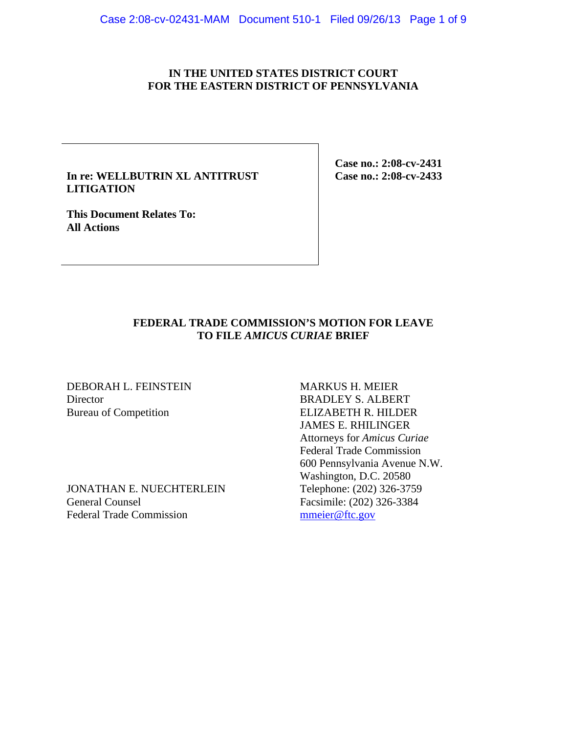## **IN THE UNITED STATES DISTRICT COURT FOR THE EASTERN DISTRICT OF PENNSYLVANIA**

## **In re: WELLBUTRIN XL ANTITRUST LITIGATION**

**This Document Relates To: All Actions** 

**Case no.: 2:08-cv-2431 Case no.: 2:08-cv-2433** 

# **FEDERAL TRADE COMMISSION'S MOTION FOR LEAVE TO FILE** *AMICUS CURIAE* **BRIEF**

DEBORAH L. FEINSTEIN MARKUS H. MEIER Director BRADLEY S. ALBERT

JONATHAN E. NUECHTERLEIN General Counsel Facsimile: (202) 326-3384 Federal Trade Commission meier@ftc.gov

Bureau of Competition ELIZABETH R. HILDER JAMES E. RHILINGER Attorneys for *Amicus Curiae* Federal Trade Commission 600 Pennsylvania Avenue N.W. Washington, D.C. 20580<br>Telephone: (202) 326-3759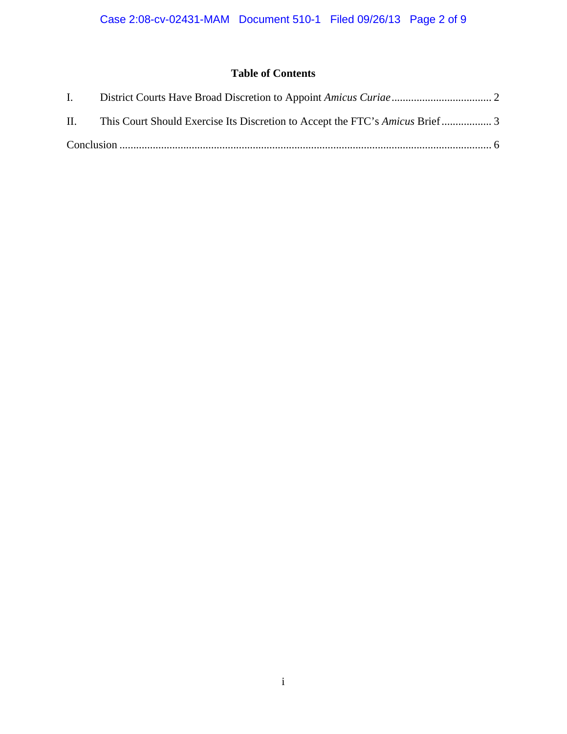# **Table of Contents**

| $\mathbf{I}$ . |  |
|----------------|--|
| Н.             |  |
|                |  |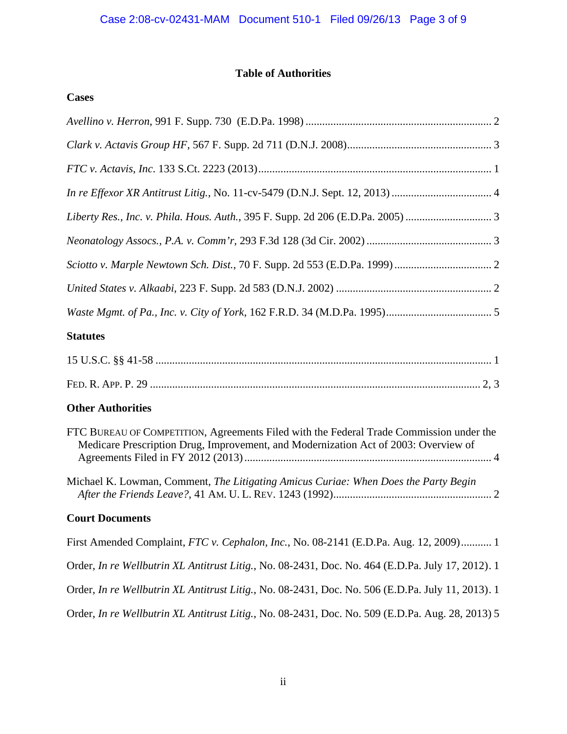# **Table of Authorities**

# **Cases**

| Liberty Res., Inc. v. Phila. Hous. Auth., 395 F. Supp. 2d 206 (E.D.Pa. 2005)                                                                                                   |
|--------------------------------------------------------------------------------------------------------------------------------------------------------------------------------|
|                                                                                                                                                                                |
|                                                                                                                                                                                |
|                                                                                                                                                                                |
|                                                                                                                                                                                |
| <b>Statutes</b>                                                                                                                                                                |
|                                                                                                                                                                                |
|                                                                                                                                                                                |
| <b>Other Authorities</b>                                                                                                                                                       |
| FTC BUREAU OF COMPETITION, Agreements Filed with the Federal Trade Commission under the<br>Medicare Prescription Drug, Improvement, and Modernization Act of 2003: Overview of |
| Michael K. Lowman, Comment, The Litigating Amicus Curiae: When Does the Party Begin                                                                                            |
| <b>Court Documents</b>                                                                                                                                                         |
| First Amended Complaint, FTC v. Cephalon, Inc., No. 08-2141 (E.D.Pa. Aug. 12, 2009) 1                                                                                          |
| Order, In re Wellbutrin XL Antitrust Litig., No. 08-2431, Doc. No. 464 (E.D.Pa. July 17, 2012). 1                                                                              |
| Order, In re Wellbutrin XL Antitrust Litig., No. 08-2431, Doc. No. 506 (E.D.Pa. July 11, 2013). 1                                                                              |
| Order, In re Wellbutrin XL Antitrust Litig., No. 08-2431, Doc. No. 509 (E.D.Pa. Aug. 28, 2013) 5                                                                               |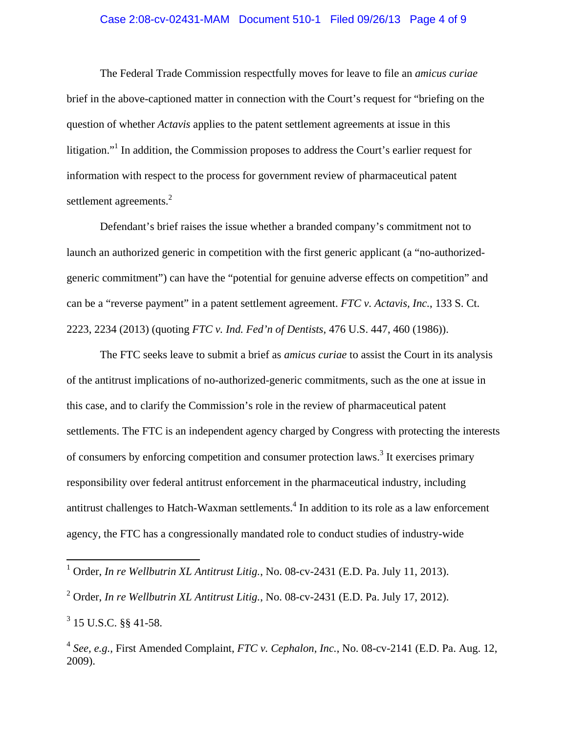### Case 2:08-cv-02431-MAM Document 510-1 Filed 09/26/13 Page 4 of 9

The Federal Trade Commission respectfully moves for leave to file an *amicus curiae* brief in the above-captioned matter in connection with the Court's request for "briefing on the question of whether *Actavis* applies to the patent settlement agreements at issue in this litigation."<sup>1</sup> In addition, the Commission proposes to address the Court's earlier request for information with respect to the process for government review of pharmaceutical patent settlement agreements.<sup>2</sup>

 Defendant's brief raises the issue whether a branded company's commitment not to launch an authorized generic in competition with the first generic applicant (a "no-authorizedgeneric commitment") can have the "potential for genuine adverse effects on competition" and can be a "reverse payment" in a patent settlement agreement. *FTC v. Actavis, Inc.*, 133 S. Ct. 2223, 2234 (2013) (quoting *FTC v. Ind. Fed'n of Dentists*, 476 U.S. 447, 460 (1986)).

 The FTC seeks leave to submit a brief as *amicus curiae* to assist the Court in its analysis of the antitrust implications of no-authorized-generic commitments, such as the one at issue in this case, and to clarify the Commission's role in the review of pharmaceutical patent settlements. The FTC is an independent agency charged by Congress with protecting the interests of consumers by enforcing competition and consumer protection laws.<sup>3</sup> It exercises primary responsibility over federal antitrust enforcement in the pharmaceutical industry, including antitrust challenges to Hatch-Waxman settlements.<sup>4</sup> In addition to its role as a law enforcement agency, the FTC has a congressionally mandated role to conduct studies of industry-wide

<sup>&</sup>lt;sup>1</sup> Order, *In re Wellbutrin XL Antitrust Litig.*, No. 08-cv-2431 (E.D. Pa. July 11, 2013).

<sup>2</sup> Order, *In re Wellbutrin XL Antitrust Litig.*, No. 08-cv-2431 (E.D. Pa. July 17, 2012).

 $3$  15 U.S.C.  $\S$ § 41-58.

<sup>4</sup> *See, e.g.,* First Amended Complaint, *FTC v. Cephalon, Inc.*, No. 08-cv-2141 (E.D. Pa. Aug. 12, 2009).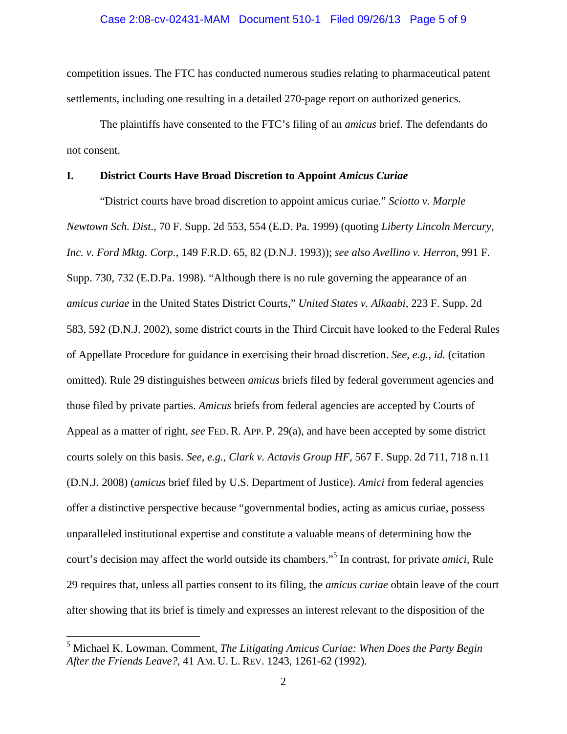competition issues. The FTC has conducted numerous studies relating to pharmaceutical patent settlements, including one resulting in a detailed 270-page report on authorized generics.

 The plaintiffs have consented to the FTC's filing of an *amicus* brief. The defendants do not consent.

## **I. District Courts Have Broad Discretion to Appoint** *Amicus Curiae*

"District courts have broad discretion to appoint amicus curiae." *Sciotto v. Marple Newtown Sch. Dist.*, 70 F. Supp. 2d 553, 554 (E.D. Pa. 1999) (quoting *Liberty Lincoln Mercury, Inc. v. Ford Mktg. Corp.*, 149 F.R.D. 65, 82 (D.N.J. 1993)); *see also Avellino v. Herron*, 991 F. Supp. 730, 732 (E.D.Pa. 1998). "Although there is no rule governing the appearance of an *amicus curiae* in the United States District Courts," *United States v. Alkaabi*, 223 F. Supp. 2d 583, 592 (D.N.J. 2002), some district courts in the Third Circuit have looked to the Federal Rules of Appellate Procedure for guidance in exercising their broad discretion. *See, e.g., id.* (citation omitted). Rule 29 distinguishes between *amicus* briefs filed by federal government agencies and those filed by private parties. *Amicus* briefs from federal agencies are accepted by Courts of Appeal as a matter of right, *see* FED. R. APP. P. 29(a), and have been accepted by some district courts solely on this basis. *See, e.g., Clark v. Actavis Group HF*, 567 F. Supp. 2d 711, 718 n.11 (D.N.J. 2008) (*amicus* brief filed by U.S. Department of Justice). *Amici* from federal agencies offer a distinctive perspective because "governmental bodies, acting as amicus curiae, possess unparalleled institutional expertise and constitute a valuable means of determining how the court's decision may affect the world outside its chambers."<sup>5</sup> In contrast, for private *amici*, Rule 29 requires that, unless all parties consent to its filing, the *amicus curiae* obtain leave of the court after showing that its brief is timely and expresses an interest relevant to the disposition of the

<sup>5</sup> Michael K. Lowman, Comment, *The Litigating Amicus Curiae: When Does the Party Begin After the Friends Leave?*, 41 AM. U. L. REV. 1243, 1261-62 (1992).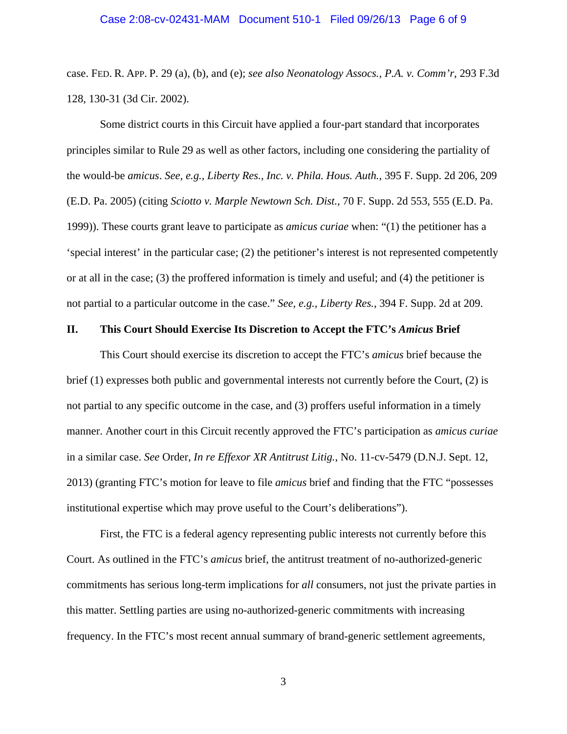case. FED. R. APP. P. 29 (a), (b), and (e); *see also Neonatology Assocs., P.A. v. Comm'r*, 293 F.3d 128, 130-31 (3d Cir. 2002).

Some district courts in this Circuit have applied a four-part standard that incorporates principles similar to Rule 29 as well as other factors, including one considering the partiality of the would-be *amicus*. *See, e.g., Liberty Res., Inc. v. Phila. Hous. Auth.*, 395 F. Supp. 2d 206, 209 (E.D. Pa. 2005) (citing *Sciotto v. Marple Newtown Sch. Dist.*, 70 F. Supp. 2d 553, 555 (E.D. Pa. 1999)). These courts grant leave to participate as *amicus curiae* when: "(1) the petitioner has a 'special interest' in the particular case; (2) the petitioner's interest is not represented competently or at all in the case; (3) the proffered information is timely and useful; and (4) the petitioner is not partial to a particular outcome in the case." *See, e.g., Liberty Res.*, 394 F. Supp. 2d at 209.

#### **II. This Court Should Exercise Its Discretion to Accept the FTC's** *Amicus* **Brief**

This Court should exercise its discretion to accept the FTC's *amicus* brief because the brief (1) expresses both public and governmental interests not currently before the Court, (2) is not partial to any specific outcome in the case, and (3) proffers useful information in a timely manner. Another court in this Circuit recently approved the FTC's participation as *amicus curiae* in a similar case. *See* Order, *In re Effexor XR Antitrust Litig.*, No. 11-cv-5479 (D.N.J. Sept. 12, 2013) (granting FTC's motion for leave to file *amicus* brief and finding that the FTC "possesses institutional expertise which may prove useful to the Court's deliberations").

 First, the FTC is a federal agency representing public interests not currently before this Court. As outlined in the FTC's *amicus* brief, the antitrust treatment of no-authorized-generic commitments has serious long-term implications for *all* consumers, not just the private parties in this matter. Settling parties are using no-authorized-generic commitments with increasing frequency. In the FTC's most recent annual summary of brand-generic settlement agreements,

3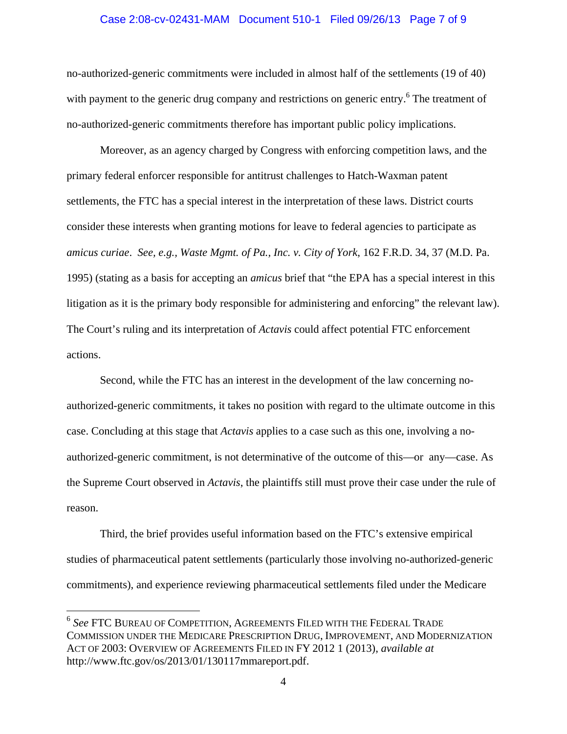#### Case 2:08-cv-02431-MAM Document 510-1 Filed 09/26/13 Page 7 of 9

no-authorized-generic commitments were included in almost half of the settlements (19 of 40) with payment to the generic drug company and restrictions on generic entry.<sup>6</sup> The treatment of no-authorized-generic commitments therefore has important public policy implications.

 Moreover, as an agency charged by Congress with enforcing competition laws, and the primary federal enforcer responsible for antitrust challenges to Hatch-Waxman patent settlements, the FTC has a special interest in the interpretation of these laws. District courts consider these interests when granting motions for leave to federal agencies to participate as *amicus curiae*. *See, e.g., Waste Mgmt. of Pa., Inc. v. City of York*, 162 F.R.D. 34, 37 (M.D. Pa. 1995) (stating as a basis for accepting an *amicus* brief that "the EPA has a special interest in this litigation as it is the primary body responsible for administering and enforcing" the relevant law). The Court's ruling and its interpretation of *Actavis* could affect potential FTC enforcement actions.

 Second, while the FTC has an interest in the development of the law concerning noauthorized-generic commitments, it takes no position with regard to the ultimate outcome in this case. Concluding at this stage that *Actavis* applies to a case such as this one, involving a noauthorized-generic commitment, is not determinative of the outcome of this—or any—case. As the Supreme Court observed in *Actavis*, the plaintiffs still must prove their case under the rule of reason.

 Third, the brief provides useful information based on the FTC's extensive empirical studies of pharmaceutical patent settlements (particularly those involving no-authorized-generic commitments), and experience reviewing pharmaceutical settlements filed under the Medicare

<sup>6</sup> *See* FTC BUREAU OF COMPETITION, AGREEMENTS FILED WITH THE FEDERAL TRADE COMMISSION UNDER THE MEDICARE PRESCRIPTION DRUG, IMPROVEMENT, AND MODERNIZATION ACT OF 2003: OVERVIEW OF AGREEMENTS FILED IN FY 2012 1 (2013), *available at* http://www.ftc.gov/os/2013/01/130117mmareport.pdf.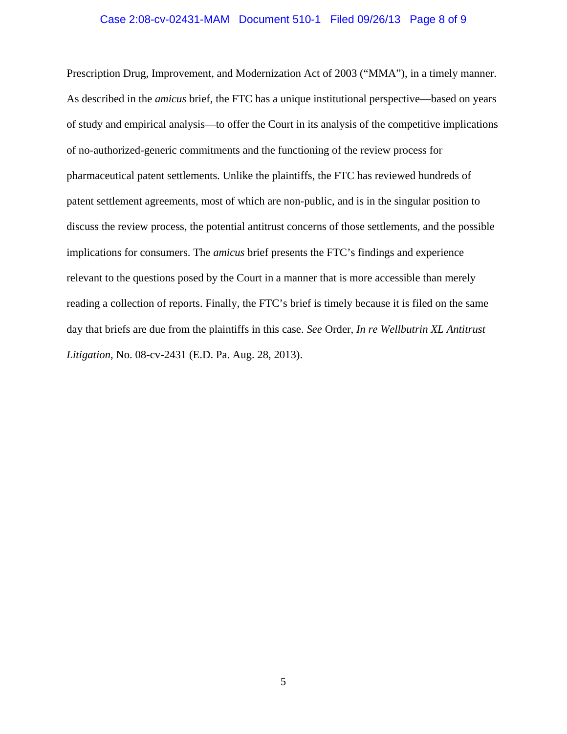### Case 2:08-cv-02431-MAM Document 510-1 Filed 09/26/13 Page 8 of 9

Prescription Drug, Improvement, and Modernization Act of 2003 ("MMA"), in a timely manner. As described in the *amicus* brief, the FTC has a unique institutional perspective—based on years of study and empirical analysis—to offer the Court in its analysis of the competitive implications of no-authorized-generic commitments and the functioning of the review process for pharmaceutical patent settlements. Unlike the plaintiffs, the FTC has reviewed hundreds of patent settlement agreements, most of which are non-public, and is in the singular position to discuss the review process, the potential antitrust concerns of those settlements, and the possible implications for consumers. The *amicus* brief presents the FTC's findings and experience relevant to the questions posed by the Court in a manner that is more accessible than merely reading a collection of reports. Finally, the FTC's brief is timely because it is filed on the same day that briefs are due from the plaintiffs in this case. *See* Order, *In re Wellbutrin XL Antitrust Litigation*, No. 08-cv-2431 (E.D. Pa. Aug. 28, 2013).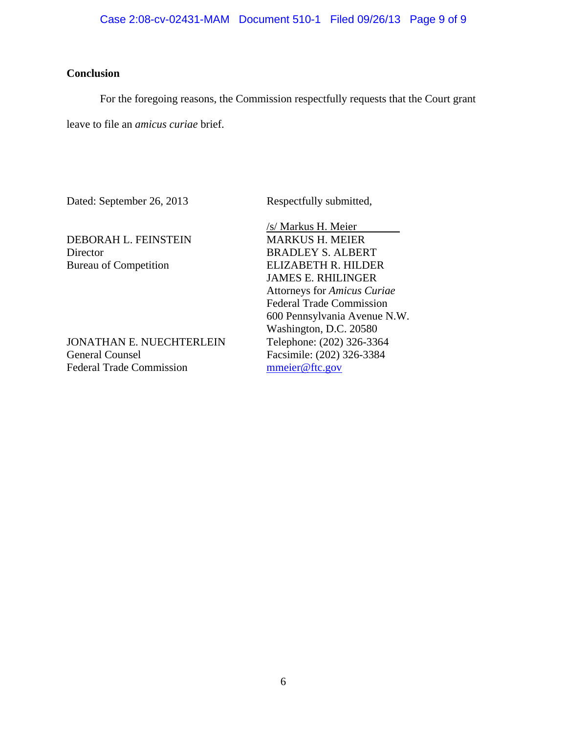# **Conclusion**

For the foregoing reasons, the Commission respectfully requests that the Court grant

leave to file an *amicus curiae* brief.

Dated: September 26, 2013 Respectfully submitted,

DEBORAH L. FEINSTEIN MARKUS H. MEIER Director BRADLEY S. ALBERT Bureau of Competition ELIZABETH R. HILDER

JONATHAN E. NUECHTERLEIN Telephone: (202) 326-3364 General Counsel Facsimile: (202) 326-3384 Federal Trade Commission mmeier@ftc.gov

 /s/ Markus H. Meier JAMES E. RHILINGER Attorneys for *Amicus Curiae* Federal Trade Commission 600 Pennsylvania Avenue N.W. Washington, D.C. 20580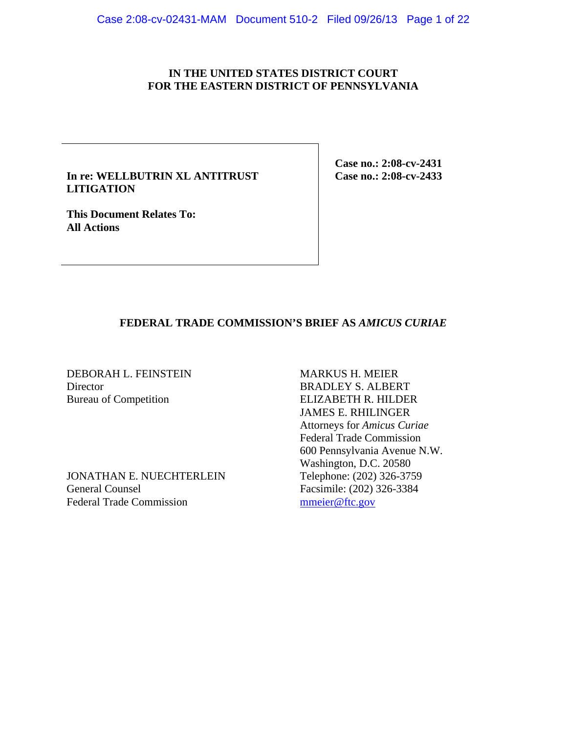## **IN THE UNITED STATES DISTRICT COURT FOR THE EASTERN DISTRICT OF PENNSYLVANIA**

## **In re: WELLBUTRIN XL ANTITRUST LITIGATION**

**This Document Relates To: All Actions** 

**Case no.: 2:08-cv-2431 Case no.: 2:08-cv-2433** 

# **FEDERAL TRADE COMMISSION'S BRIEF AS** *AMICUS CURIAE*

DEBORAH L. FEINSTEIN MARKUS H. MEIER Director BRADLEY S. ALBERT Bureau of Competition ELIZABETH R. HILDER

JONATHAN E. NUECHTERLEIN General Counsel<br>Facsimile: (202) 326-3384<br>Federal Trade Commission<br>Facsimile: (202) 326-3384 Federal Trade Commission

 JAMES E. RHILINGER Attorneys for *Amicus Curiae* Federal Trade Commission 600 Pennsylvania Avenue N.W. Washington, D.C. 20580<br>Telephone: (202) 326-3759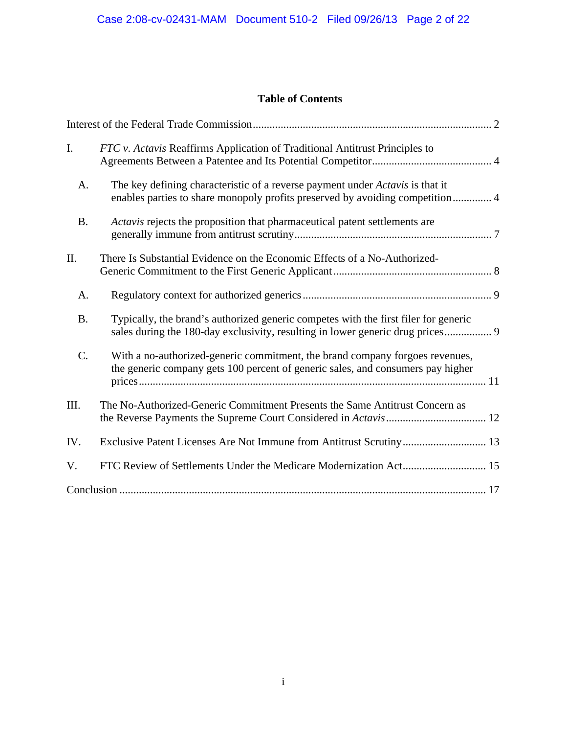# **Table of Contents**

| I.        | FTC v. Actavis Reaffirms Application of Traditional Antitrust Principles to                                                                                           |
|-----------|-----------------------------------------------------------------------------------------------------------------------------------------------------------------------|
| A.        | The key defining characteristic of a reverse payment under Actavis is that it<br>enables parties to share monopoly profits preserved by avoiding competition 4        |
| <b>B.</b> | Actavis rejects the proposition that pharmaceutical patent settlements are                                                                                            |
| II.       | There Is Substantial Evidence on the Economic Effects of a No-Authorized-                                                                                             |
| A.        |                                                                                                                                                                       |
| <b>B.</b> | Typically, the brand's authorized generic competes with the first filer for generic<br>sales during the 180-day exclusivity, resulting in lower generic drug prices 9 |
| C.        | With a no-authorized-generic commitment, the brand company forgoes revenues,<br>the generic company gets 100 percent of generic sales, and consumers pay higher       |
| III.      | The No-Authorized-Generic Commitment Presents the Same Antitrust Concern as                                                                                           |
| IV.       | Exclusive Patent Licenses Are Not Immune from Antitrust Scrutiny 13                                                                                                   |
| V.        |                                                                                                                                                                       |
|           |                                                                                                                                                                       |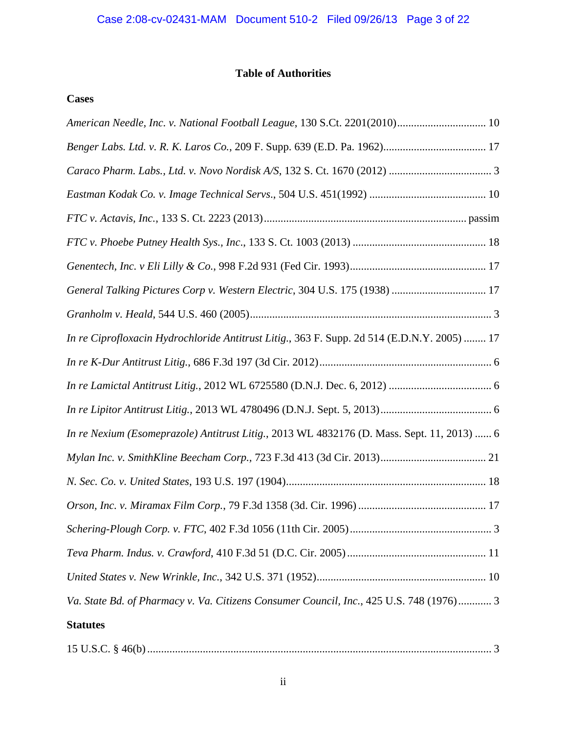# **Table of Authorities**

# **Cases**

| American Needle, Inc. v. National Football League, 130 S.Ct. 2201(2010) 10                  |  |  |  |
|---------------------------------------------------------------------------------------------|--|--|--|
|                                                                                             |  |  |  |
|                                                                                             |  |  |  |
|                                                                                             |  |  |  |
|                                                                                             |  |  |  |
|                                                                                             |  |  |  |
|                                                                                             |  |  |  |
| General Talking Pictures Corp v. Western Electric, 304 U.S. 175 (1938)  17                  |  |  |  |
|                                                                                             |  |  |  |
| In re Ciprofloxacin Hydrochloride Antitrust Litig., 363 F. Supp. 2d 514 (E.D.N.Y. 2005)  17 |  |  |  |
|                                                                                             |  |  |  |
|                                                                                             |  |  |  |
|                                                                                             |  |  |  |
| In re Nexium (Esomeprazole) Antitrust Litig., 2013 WL 4832176 (D. Mass. Sept. 11, 2013)  6  |  |  |  |
|                                                                                             |  |  |  |
|                                                                                             |  |  |  |
|                                                                                             |  |  |  |
|                                                                                             |  |  |  |
|                                                                                             |  |  |  |
|                                                                                             |  |  |  |
| Va. State Bd. of Pharmacy v. Va. Citizens Consumer Council, Inc., 425 U.S. 748 (1976) 3     |  |  |  |
| <b>Statutes</b>                                                                             |  |  |  |
|                                                                                             |  |  |  |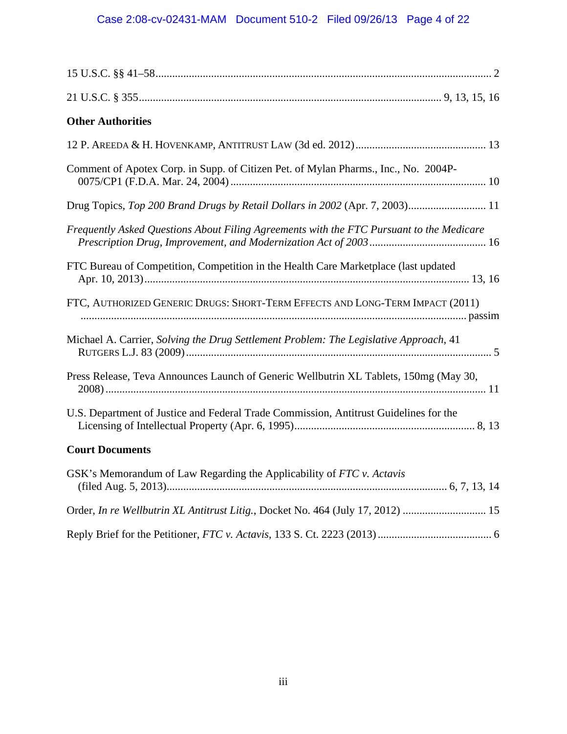| <b>Other Authorities</b>                                                                 |
|------------------------------------------------------------------------------------------|
|                                                                                          |
| Comment of Apotex Corp. in Supp. of Citizen Pet. of Mylan Pharms., Inc., No. 2004P-      |
| Drug Topics, Top 200 Brand Drugs by Retail Dollars in 2002 (Apr. 7, 2003) 11             |
| Frequently Asked Questions About Filing Agreements with the FTC Pursuant to the Medicare |
| FTC Bureau of Competition, Competition in the Health Care Marketplace (last updated      |
| FTC, AUTHORIZED GENERIC DRUGS: SHORT-TERM EFFECTS AND LONG-TERM IMPACT (2011)            |
| Michael A. Carrier, Solving the Drug Settlement Problem: The Legislative Approach, 41    |
| Press Release, Teva Announces Launch of Generic Wellbutrin XL Tablets, 150mg (May 30,    |
| U.S. Department of Justice and Federal Trade Commission, Antitrust Guidelines for the    |
| <b>Court Documents</b>                                                                   |
| GSK's Memorandum of Law Regarding the Applicability of FTC v. Actavis                    |
| Order, In re Wellbutrin XL Antitrust Litig., Docket No. 464 (July 17, 2012)  15          |

Reply Brief for the Petitioner, *FTC v. Actavis,* 133 S. Ct. 2223 (2013) ......................................... 6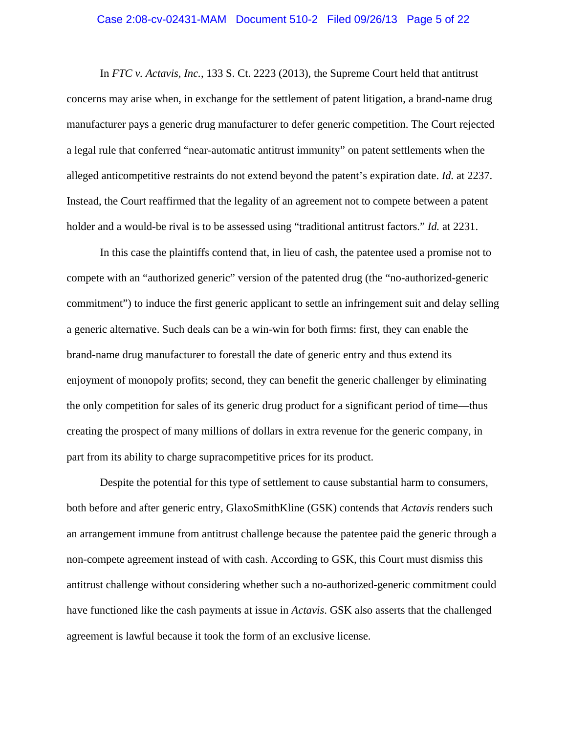#### Case 2:08-cv-02431-MAM Document 510-2 Filed 09/26/13 Page 5 of 22

In *FTC v. Actavis, Inc.*, 133 S. Ct. 2223 (2013), the Supreme Court held that antitrust concerns may arise when, in exchange for the settlement of patent litigation, a brand-name drug manufacturer pays a generic drug manufacturer to defer generic competition. The Court rejected a legal rule that conferred "near-automatic antitrust immunity" on patent settlements when the alleged anticompetitive restraints do not extend beyond the patent's expiration date. *Id.* at 2237. Instead, the Court reaffirmed that the legality of an agreement not to compete between a patent holder and a would-be rival is to be assessed using "traditional antitrust factors." *Id.* at 2231.

In this case the plaintiffs contend that, in lieu of cash, the patentee used a promise not to compete with an "authorized generic" version of the patented drug (the "no-authorized-generic commitment") to induce the first generic applicant to settle an infringement suit and delay selling a generic alternative. Such deals can be a win-win for both firms: first, they can enable the brand-name drug manufacturer to forestall the date of generic entry and thus extend its enjoyment of monopoly profits; second, they can benefit the generic challenger by eliminating the only competition for sales of its generic drug product for a significant period of time—thus creating the prospect of many millions of dollars in extra revenue for the generic company, in part from its ability to charge supracompetitive prices for its product.

Despite the potential for this type of settlement to cause substantial harm to consumers, both before and after generic entry, GlaxoSmithKline (GSK) contends that *Actavis* renders such an arrangement immune from antitrust challenge because the patentee paid the generic through a non-compete agreement instead of with cash. According to GSK, this Court must dismiss this antitrust challenge without considering whether such a no-authorized-generic commitment could have functioned like the cash payments at issue in *Actavis*. GSK also asserts that the challenged agreement is lawful because it took the form of an exclusive license.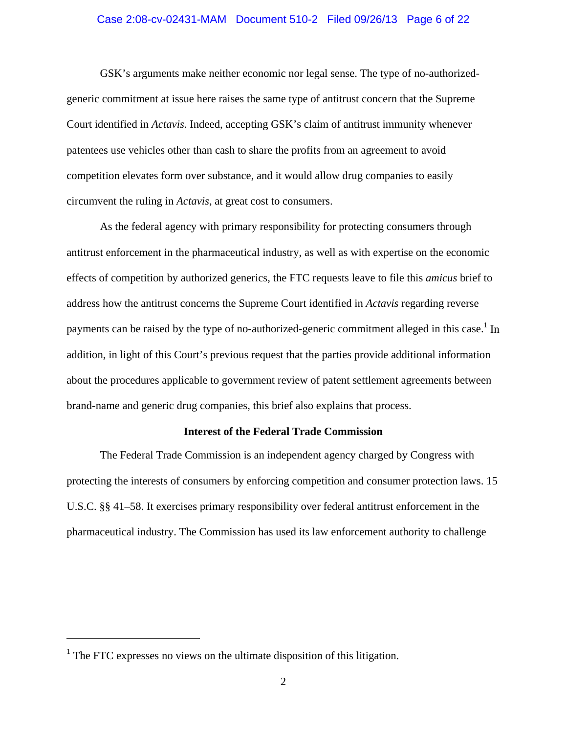### Case 2:08-cv-02431-MAM Document 510-2 Filed 09/26/13 Page 6 of 22

GSK's arguments make neither economic nor legal sense. The type of no-authorizedgeneric commitment at issue here raises the same type of antitrust concern that the Supreme Court identified in *Actavis*. Indeed, accepting GSK's claim of antitrust immunity whenever patentees use vehicles other than cash to share the profits from an agreement to avoid competition elevates form over substance, and it would allow drug companies to easily circumvent the ruling in *Actavis*, at great cost to consumers.

As the federal agency with primary responsibility for protecting consumers through antitrust enforcement in the pharmaceutical industry, as well as with expertise on the economic effects of competition by authorized generics, the FTC requests leave to file this *amicus* brief to address how the antitrust concerns the Supreme Court identified in *Actavis* regarding reverse payments can be raised by the type of no-authorized-generic commitment alleged in this case.<sup>1</sup> In addition, in light of this Court's previous request that the parties provide additional information about the procedures applicable to government review of patent settlement agreements between brand-name and generic drug companies, this brief also explains that process.

#### **Interest of the Federal Trade Commission**

 The Federal Trade Commission is an independent agency charged by Congress with protecting the interests of consumers by enforcing competition and consumer protection laws. 15 U.S.C. §§ 41–58. It exercises primary responsibility over federal antitrust enforcement in the pharmaceutical industry. The Commission has used its law enforcement authority to challenge

<u>.</u>

<sup>&</sup>lt;sup>1</sup> The FTC expresses no views on the ultimate disposition of this litigation.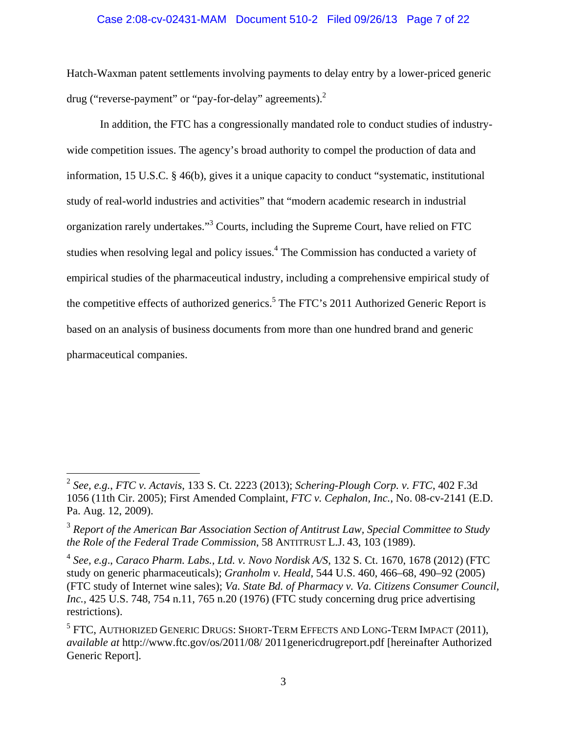### Case 2:08-cv-02431-MAM Document 510-2 Filed 09/26/13 Page 7 of 22

Hatch-Waxman patent settlements involving payments to delay entry by a lower-priced generic drug ("reverse-payment" or "pay-for-delay" agreements).<sup>2</sup>

 In addition, the FTC has a congressionally mandated role to conduct studies of industrywide competition issues. The agency's broad authority to compel the production of data and information, 15 U.S.C. § 46(b), gives it a unique capacity to conduct "systematic, institutional study of real-world industries and activities" that "modern academic research in industrial organization rarely undertakes."<sup>3</sup> Courts, including the Supreme Court, have relied on FTC studies when resolving legal and policy issues.<sup>4</sup> The Commission has conducted a variety of empirical studies of the pharmaceutical industry, including a comprehensive empirical study of the competitive effects of authorized generics.<sup>5</sup> The FTC's 2011 Authorized Generic Report is based on an analysis of business documents from more than one hundred brand and generic pharmaceutical companies.

<sup>2</sup> *See, e.g.*, *FTC v. Actavis*, 133 S. Ct. 2223 (2013); *Schering-Plough Corp. v. FTC*, 402 F.3d 1056 (11th Cir. 2005); First Amended Complaint, *FTC v. Cephalon, Inc.*, No. 08-cv-2141 (E.D. Pa. Aug. 12, 2009).

<sup>3</sup> *Report of the American Bar Association Section of Antitrust Law, Special Committee to Study the Role of the Federal Trade Commission*, 58 ANTITRUST L.J. 43, 103 (1989).

<sup>4</sup> *See, e.g*., *Caraco Pharm. Labs., Ltd. v. Novo Nordisk A/S*, 132 S. Ct. 1670, 1678 (2012) (FTC study on generic pharmaceuticals); *Granholm v. Heald*, 544 U.S. 460, 466–68, 490–92 (2005) (FTC study of Internet wine sales); *Va. State Bd. of Pharmacy v. Va. Citizens Consumer Council, Inc.*, 425 U.S. 748, 754 n.11, 765 n.20 (1976) (FTC study concerning drug price advertising restrictions).

 $^5$  FTC, AUTHORIZED GENERIC DRUGS: SHORT-TERM EFFECTS AND LONG-TERM IMPACT (2011), *available at* http://www.ftc.gov/os/2011/08/ 2011genericdrugreport.pdf [hereinafter Authorized Generic Report].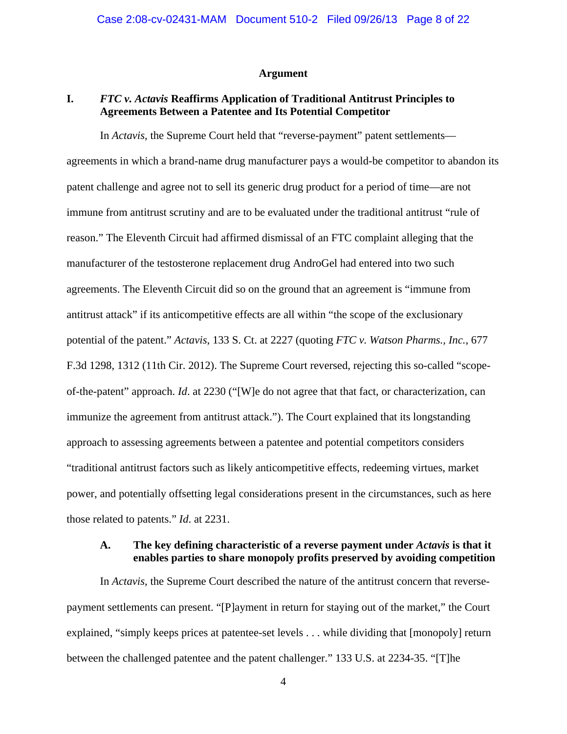#### **Argument**

## **I.** *FTC v. Actavis* **Reaffirms Application of Traditional Antitrust Principles to Agreements Between a Patentee and Its Potential Competitor**

In *Actavis*, the Supreme Court held that "reverse-payment" patent settlements agreements in which a brand-name drug manufacturer pays a would-be competitor to abandon its patent challenge and agree not to sell its generic drug product for a period of time—are not immune from antitrust scrutiny and are to be evaluated under the traditional antitrust "rule of reason." The Eleventh Circuit had affirmed dismissal of an FTC complaint alleging that the manufacturer of the testosterone replacement drug AndroGel had entered into two such agreements. The Eleventh Circuit did so on the ground that an agreement is "immune from antitrust attack" if its anticompetitive effects are all within "the scope of the exclusionary potential of the patent." *Actavis*, 133 S. Ct. at 2227 (quoting *FTC v. Watson Pharms., Inc.*, 677 F.3d 1298, 1312 (11th Cir. 2012). The Supreme Court reversed, rejecting this so-called "scopeof-the-patent" approach. *Id*. at 2230 ("[W]e do not agree that that fact, or characterization, can immunize the agreement from antitrust attack."). The Court explained that its longstanding approach to assessing agreements between a patentee and potential competitors considers "traditional antitrust factors such as likely anticompetitive effects, redeeming virtues, market power, and potentially offsetting legal considerations present in the circumstances, such as here those related to patents." *Id*. at 2231.

## **A. The key defining characteristic of a reverse payment under** *Actavis* **is that it enables parties to share monopoly profits preserved by avoiding competition**

In *Actavis*, the Supreme Court described the nature of the antitrust concern that reversepayment settlements can present. "[P]ayment in return for staying out of the market," the Court explained, "simply keeps prices at patentee-set levels . . . while dividing that [monopoly] return between the challenged patentee and the patent challenger." 133 U.S. at 2234-35. "[T]he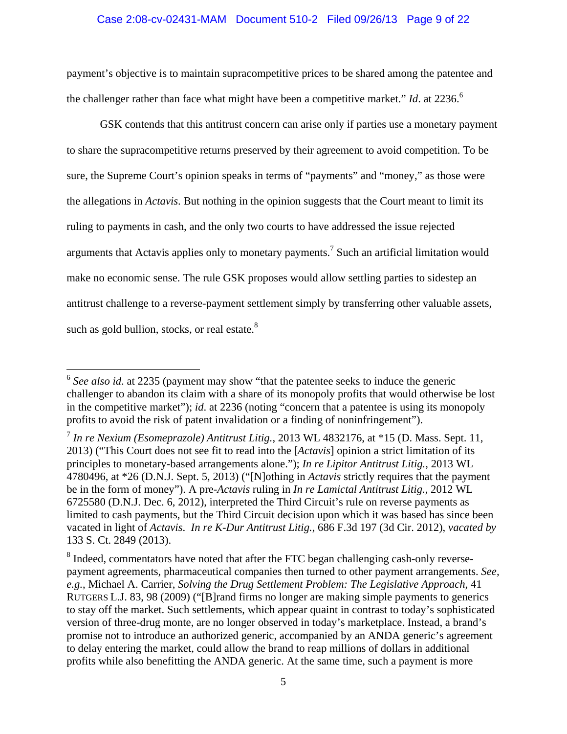### Case 2:08-cv-02431-MAM Document 510-2 Filed 09/26/13 Page 9 of 22

payment's objective is to maintain supracompetitive prices to be shared among the patentee and the challenger rather than face what might have been a competitive market." *Id*. at 2236.<sup>6</sup>

GSK contends that this antitrust concern can arise only if parties use a monetary payment to share the supracompetitive returns preserved by their agreement to avoid competition. To be sure, the Supreme Court's opinion speaks in terms of "payments" and "money," as those were the allegations in *Actavis*. But nothing in the opinion suggests that the Court meant to limit its ruling to payments in cash, and the only two courts to have addressed the issue rejected arguments that Actavis applies only to monetary payments.<sup>7</sup> Such an artificial limitation would make no economic sense. The rule GSK proposes would allow settling parties to sidestep an antitrust challenge to a reverse-payment settlement simply by transferring other valuable assets, such as gold bullion, stocks, or real estate.<sup>8</sup>

<sup>&</sup>lt;sup>6</sup> See also id. at 2235 (payment may show "that the patentee seeks to induce the generic challenger to abandon its claim with a share of its monopoly profits that would otherwise be lost in the competitive market"); *id*. at 2236 (noting "concern that a patentee is using its monopoly profits to avoid the risk of patent invalidation or a finding of noninfringement").

<sup>7</sup> *In re Nexium (Esomeprazole) Antitrust Litig.*, 2013 WL 4832176, at \*15 (D. Mass. Sept. 11, 2013) ("This Court does not see fit to read into the [*Actavis*] opinion a strict limitation of its principles to monetary-based arrangements alone."); *In re Lipitor Antitrust Litig.*, 2013 WL 4780496, at \*26 (D.N.J. Sept. 5, 2013) ("[N]othing in *Actavis* strictly requires that the payment be in the form of money"). A pre-*Actavis* ruling in *In re Lamictal Antitrust Litig.*, 2012 WL 6725580 (D.N.J. Dec. 6, 2012), interpreted the Third Circuit's rule on reverse payments as limited to cash payments, but the Third Circuit decision upon which it was based has since been vacated in light of *Actavis*. *In re K-Dur Antitrust Litig.*, 686 F.3d 197 (3d Cir. 2012), *vacated by* 133 S. Ct. 2849 (2013).

 $8$  Indeed, commentators have noted that after the FTC began challenging cash-only reversepayment agreements, pharmaceutical companies then turned to other payment arrangements. *See, e.g.*, Michael A. Carrier, *Solving the Drug Settlement Problem: The Legislative Approach*, 41 RUTGERS L.J. 83, 98 (2009) ("[B]rand firms no longer are making simple payments to generics to stay off the market. Such settlements, which appear quaint in contrast to today's sophisticated version of three-drug monte, are no longer observed in today's marketplace. Instead, a brand's promise not to introduce an authorized generic, accompanied by an ANDA generic's agreement to delay entering the market, could allow the brand to reap millions of dollars in additional profits while also benefitting the ANDA generic. At the same time, such a payment is more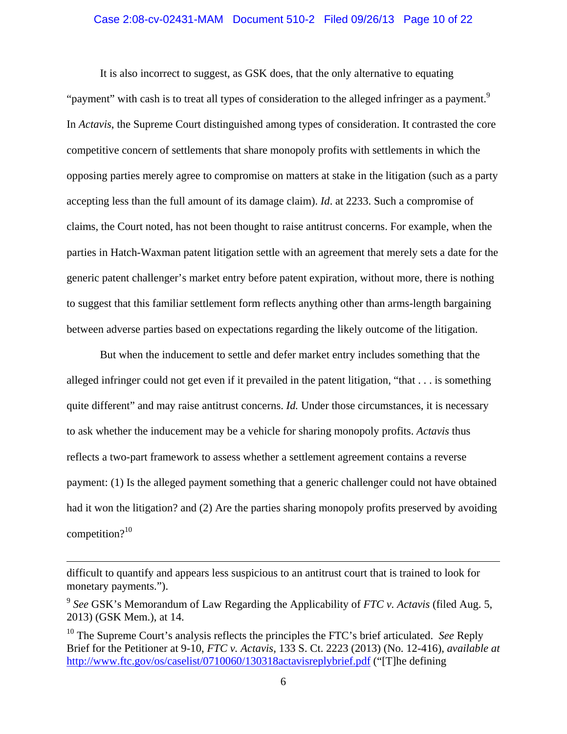#### Case 2:08-cv-02431-MAM Document 510-2 Filed 09/26/13 Page 10 of 22

It is also incorrect to suggest, as GSK does, that the only alternative to equating "payment" with cash is to treat all types of consideration to the alleged infringer as a payment.<sup>9</sup> In *Actavis*, the Supreme Court distinguished among types of consideration. It contrasted the core competitive concern of settlements that share monopoly profits with settlements in which the opposing parties merely agree to compromise on matters at stake in the litigation (such as a party accepting less than the full amount of its damage claim). *Id*. at 2233. Such a compromise of claims, the Court noted, has not been thought to raise antitrust concerns. For example, when the parties in Hatch-Waxman patent litigation settle with an agreement that merely sets a date for the generic patent challenger's market entry before patent expiration, without more, there is nothing to suggest that this familiar settlement form reflects anything other than arms-length bargaining between adverse parties based on expectations regarding the likely outcome of the litigation.

But when the inducement to settle and defer market entry includes something that the alleged infringer could not get even if it prevailed in the patent litigation, "that . . . is something quite different" and may raise antitrust concerns. *Id*. Under those circumstances, it is necessary to ask whether the inducement may be a vehicle for sharing monopoly profits. *Actavis* thus reflects a two-part framework to assess whether a settlement agreement contains a reverse payment: (1) Is the alleged payment something that a generic challenger could not have obtained had it won the litigation? and (2) Are the parties sharing monopoly profits preserved by avoiding competition? $10$ 

difficult to quantify and appears less suspicious to an antitrust court that is trained to look for monetary payments.").

<sup>9</sup> *See* GSK's Memorandum of Law Regarding the Applicability of *FTC v. Actavis* (filed Aug. 5, 2013) (GSK Mem.), at 14.

<sup>10</sup> The Supreme Court's analysis reflects the principles the FTC's brief articulated. *See* Reply Brief for the Petitioner at 9-10, *FTC v. Actavis,* 133 S. Ct. 2223 (2013) (No. 12-416), *available at* http://www.ftc.gov/os/caselist/0710060/130318actavisreplybrief.pdf ("[T]he defining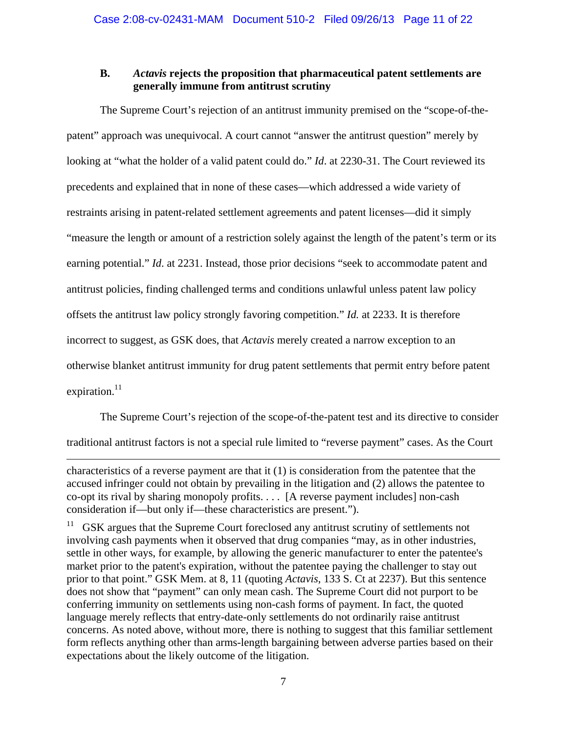## **B.** *Actavis* **rejects the proposition that pharmaceutical patent settlements are generally immune from antitrust scrutiny**

The Supreme Court's rejection of an antitrust immunity premised on the "scope-of-thepatent" approach was unequivocal. A court cannot "answer the antitrust question" merely by looking at "what the holder of a valid patent could do." *Id.* at 2230-31. The Court reviewed its precedents and explained that in none of these cases—which addressed a wide variety of restraints arising in patent-related settlement agreements and patent licenses—did it simply "measure the length or amount of a restriction solely against the length of the patent's term or its earning potential." *Id*. at 2231. Instead, those prior decisions "seek to accommodate patent and antitrust policies, finding challenged terms and conditions unlawful unless patent law policy offsets the antitrust law policy strongly favoring competition." *Id.* at 2233. It is therefore incorrect to suggest, as GSK does, that *Actavis* merely created a narrow exception to an otherwise blanket antitrust immunity for drug patent settlements that permit entry before patent expiration. $11$ 

The Supreme Court's rejection of the scope-of-the-patent test and its directive to consider

traditional antitrust factors is not a special rule limited to "reverse payment" cases. As the Court

characteristics of a reverse payment are that it (1) is consideration from the patentee that the accused infringer could not obtain by prevailing in the litigation and (2) allows the patentee to co-opt its rival by sharing monopoly profits. . . . [A reverse payment includes] non-cash consideration if—but only if—these characteristics are present.").

1

<sup>11</sup> GSK argues that the Supreme Court foreclosed any antitrust scrutiny of settlements not involving cash payments when it observed that drug companies "may, as in other industries, settle in other ways, for example, by allowing the generic manufacturer to enter the patentee's market prior to the patent's expiration, without the patentee paying the challenger to stay out prior to that point." GSK Mem. at 8, 11 (quoting *Actavis*, 133 S. Ct at 2237). But this sentence does not show that "payment" can only mean cash. The Supreme Court did not purport to be conferring immunity on settlements using non-cash forms of payment. In fact, the quoted language merely reflects that entry-date-only settlements do not ordinarily raise antitrust concerns. As noted above, without more, there is nothing to suggest that this familiar settlement form reflects anything other than arms-length bargaining between adverse parties based on their expectations about the likely outcome of the litigation.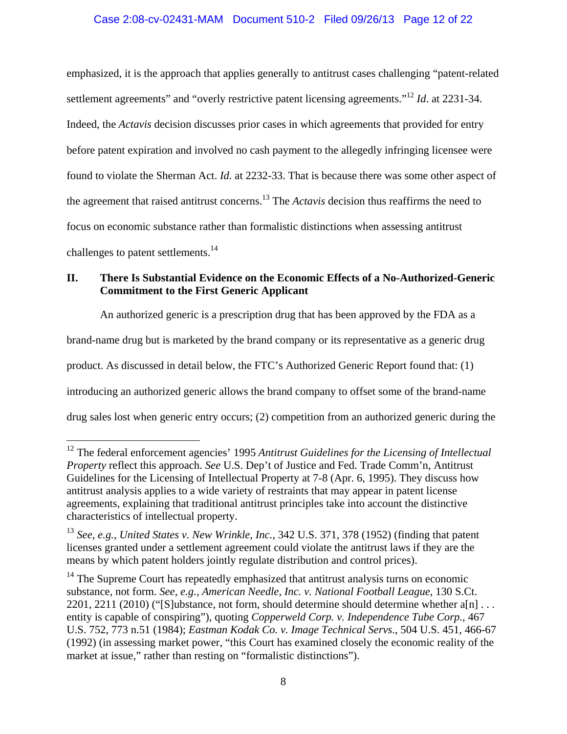## Case 2:08-cv-02431-MAM Document 510-2 Filed 09/26/13 Page 12 of 22

emphasized, it is the approach that applies generally to antitrust cases challenging "patent-related settlement agreements" and "overly restrictive patent licensing agreements."<sup>12</sup> *Id.* at 2231-34. Indeed, the *Actavis* decision discusses prior cases in which agreements that provided for entry before patent expiration and involved no cash payment to the allegedly infringing licensee were found to violate the Sherman Act. *Id.* at 2232-33. That is because there was some other aspect of the agreement that raised antitrust concerns.13 The *Actavis* decision thus reaffirms the need to focus on economic substance rather than formalistic distinctions when assessing antitrust challenges to patent settlements.<sup>14</sup>

# **II. There Is Substantial Evidence on the Economic Effects of a No-Authorized-Generic Commitment to the First Generic Applicant**

An authorized generic is a prescription drug that has been approved by the FDA as a brand-name drug but is marketed by the brand company or its representative as a generic drug product. As discussed in detail below, the FTC's Authorized Generic Report found that: (1) introducing an authorized generic allows the brand company to offset some of the brand-name drug sales lost when generic entry occurs; (2) competition from an authorized generic during the

<sup>&</sup>lt;sup>12</sup> The federal enforcement agencies' 1995 Antitrust Guidelines for the Licensing of Intellectual *Property* reflect this approach. *See* U.S. Dep't of Justice and Fed. Trade Comm'n, Antitrust Guidelines for the Licensing of Intellectual Property at 7-8 (Apr. 6, 1995). They discuss how antitrust analysis applies to a wide variety of restraints that may appear in patent license agreements, explaining that traditional antitrust principles take into account the distinctive characteristics of intellectual property.

<sup>13</sup> *See*, *e.g.*, *United States v. New Wrinkle, Inc.*, 342 U.S. 371, 378 (1952) (finding that patent licenses granted under a settlement agreement could violate the antitrust laws if they are the means by which patent holders jointly regulate distribution and control prices).

 $14$  The Supreme Court has repeatedly emphasized that antitrust analysis turns on economic substance, not form. *See, e.g., American Needle, Inc. v. National Football League*, 130 S.Ct. 2201, 2211 (2010) ("[S]ubstance, not form, should determine should determine whether  $a[n]$ ... entity is capable of conspiring"), quoting *Copperweld Corp. v. Independence Tube Corp.*, 467 U.S. 752, 773 n.51 (1984); *Eastman Kodak Co. v. Image Technical Servs*., 504 U.S. 451, 466-67 (1992) (in assessing market power, "this Court has examined closely the economic reality of the market at issue," rather than resting on "formalistic distinctions").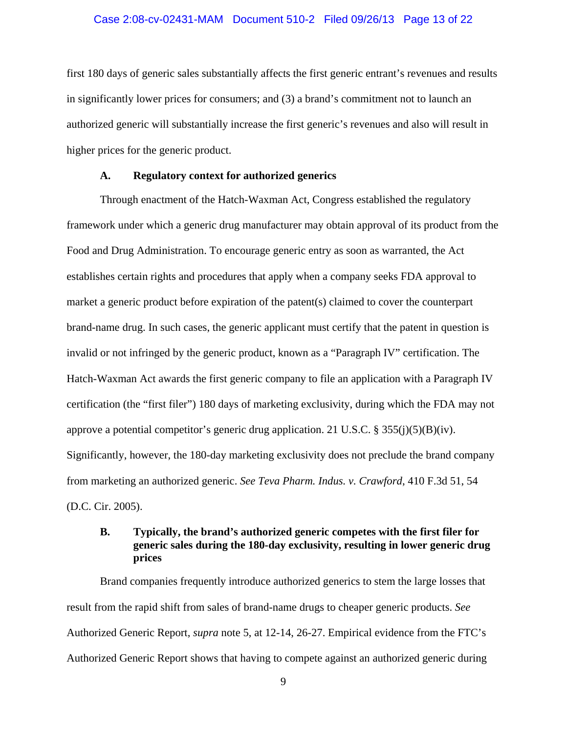### Case 2:08-cv-02431-MAM Document 510-2 Filed 09/26/13 Page 13 of 22

first 180 days of generic sales substantially affects the first generic entrant's revenues and results in significantly lower prices for consumers; and (3) a brand's commitment not to launch an authorized generic will substantially increase the first generic's revenues and also will result in higher prices for the generic product.

### **A. Regulatory context for authorized generics**

 Through enactment of the Hatch-Waxman Act, Congress established the regulatory framework under which a generic drug manufacturer may obtain approval of its product from the Food and Drug Administration. To encourage generic entry as soon as warranted, the Act establishes certain rights and procedures that apply when a company seeks FDA approval to market a generic product before expiration of the patent(s) claimed to cover the counterpart brand-name drug. In such cases, the generic applicant must certify that the patent in question is invalid or not infringed by the generic product, known as a "Paragraph IV" certification. The Hatch-Waxman Act awards the first generic company to file an application with a Paragraph IV certification (the "first filer") 180 days of marketing exclusivity, during which the FDA may not approve a potential competitor's generic drug application. 21 U.S.C. §  $355(j)(5)(B)(iv)$ . Significantly, however, the 180-day marketing exclusivity does not preclude the brand company from marketing an authorized generic. *See Teva Pharm. Indus. v. Crawford*, 410 F.3d 51, 54 (D.C. Cir. 2005).

## **B. Typically, the brand's authorized generic competes with the first filer for generic sales during the 180-day exclusivity, resulting in lower generic drug prices**

 Brand companies frequently introduce authorized generics to stem the large losses that result from the rapid shift from sales of brand-name drugs to cheaper generic products. *See*  Authorized Generic Report, *supra* note 5, at 12-14, 26-27. Empirical evidence from the FTC's Authorized Generic Report shows that having to compete against an authorized generic during

9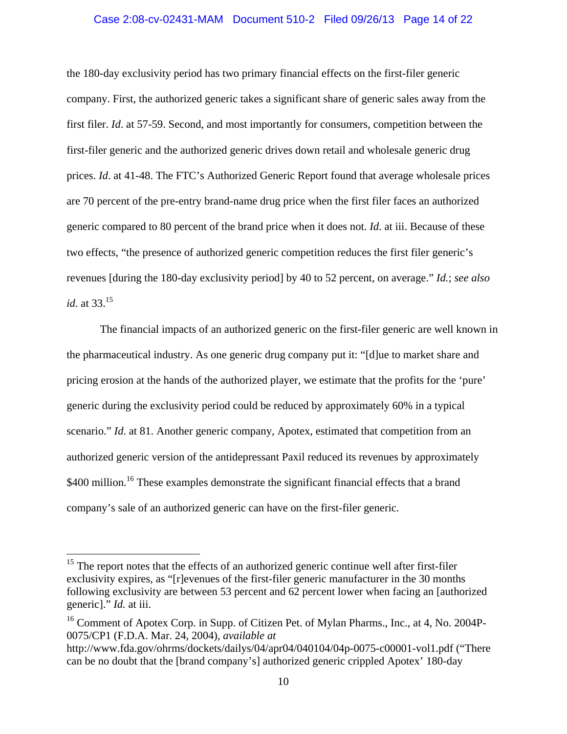### Case 2:08-cv-02431-MAM Document 510-2 Filed 09/26/13 Page 14 of 22

the 180-day exclusivity period has two primary financial effects on the first-filer generic company. First, the authorized generic takes a significant share of generic sales away from the first filer. *Id*. at 57-59. Second, and most importantly for consumers, competition between the first-filer generic and the authorized generic drives down retail and wholesale generic drug prices. *Id*. at 41-48. The FTC's Authorized Generic Report found that average wholesale prices are 70 percent of the pre-entry brand-name drug price when the first filer faces an authorized generic compared to 80 percent of the brand price when it does not. *Id*. at iii. Because of these two effects, "the presence of authorized generic competition reduces the first filer generic's revenues [during the 180-day exclusivity period] by 40 to 52 percent, on average." *Id.*; *see also id.* at 33.15

 The financial impacts of an authorized generic on the first-filer generic are well known in the pharmaceutical industry. As one generic drug company put it: "[d]ue to market share and pricing erosion at the hands of the authorized player, we estimate that the profits for the 'pure' generic during the exclusivity period could be reduced by approximately 60% in a typical scenario." *Id.* at 81. Another generic company, Apotex, estimated that competition from an authorized generic version of the antidepressant Paxil reduced its revenues by approximately \$400 million.<sup>16</sup> These examples demonstrate the significant financial effects that a brand company's sale of an authorized generic can have on the first-filer generic.

1

<sup>&</sup>lt;sup>15</sup> The report notes that the effects of an authorized generic continue well after first-filer exclusivity expires, as "[r]evenues of the first-filer generic manufacturer in the 30 months following exclusivity are between 53 percent and 62 percent lower when facing an [authorized generic]." *Id.* at iii.

<sup>&</sup>lt;sup>16</sup> Comment of Apotex Corp. in Supp. of Citizen Pet. of Mylan Pharms., Inc., at 4, No. 2004P-0075/CP1 (F.D.A. Mar. 24, 2004), *available at*

http://www.fda.gov/ohrms/dockets/dailys/04/apr04/040104/04p-0075-c00001-vol1.pdf ("There can be no doubt that the [brand company's] authorized generic crippled Apotex' 180-day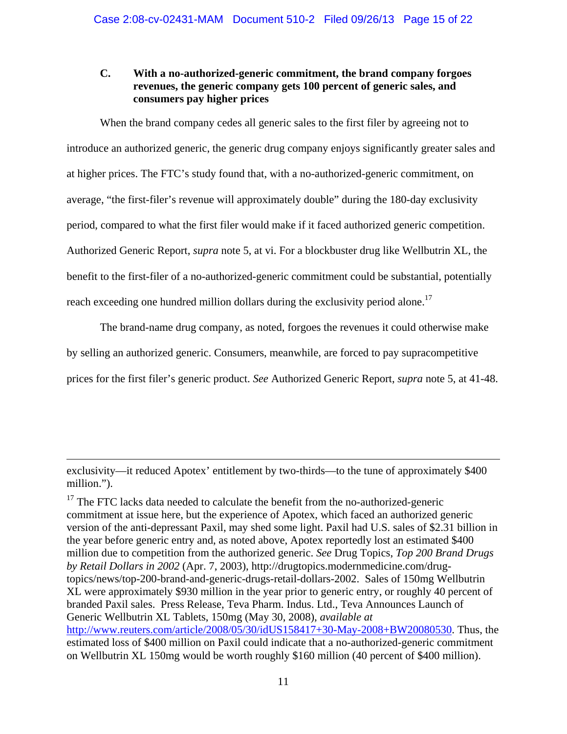# **C. With a no-authorized-generic commitment, the brand company forgoes revenues, the generic company gets 100 percent of generic sales, and consumers pay higher prices**

When the brand company cedes all generic sales to the first filer by agreeing not to introduce an authorized generic, the generic drug company enjoys significantly greater sales and at higher prices. The FTC's study found that, with a no-authorized-generic commitment, on average, "the first-filer's revenue will approximately double" during the 180-day exclusivity period, compared to what the first filer would make if it faced authorized generic competition. Authorized Generic Report, *supra* note 5, at vi. For a blockbuster drug like Wellbutrin XL, the benefit to the first-filer of a no-authorized-generic commitment could be substantial, potentially reach exceeding one hundred million dollars during the exclusivity period alone.<sup>17</sup>

The brand-name drug company, as noted, forgoes the revenues it could otherwise make by selling an authorized generic. Consumers, meanwhile, are forced to pay supracompetitive prices for the first filer's generic product. *See* Authorized Generic Report, *supra* note 5, at 41-48.

exclusivity—it reduced Apotex' entitlement by two-thirds—to the tune of approximately \$400 million.").

 $17$  The FTC lacks data needed to calculate the benefit from the no-authorized-generic commitment at issue here, but the experience of Apotex, which faced an authorized generic version of the anti-depressant Paxil, may shed some light. Paxil had U.S. sales of \$2.31 billion in the year before generic entry and, as noted above, Apotex reportedly lost an estimated \$400 million due to competition from the authorized generic. *See* Drug Topics, *Top 200 Brand Drugs by Retail Dollars in 2002* (Apr. 7, 2003), http://drugtopics.modernmedicine.com/drugtopics/news/top-200-brand-and-generic-drugs-retail-dollars-2002. Sales of 150mg Wellbutrin XL were approximately \$930 million in the year prior to generic entry, or roughly 40 percent of branded Paxil sales. Press Release, Teva Pharm. Indus. Ltd., Teva Announces Launch of Generic Wellbutrin XL Tablets, 150mg (May 30, 2008), *available at* http://www.reuters.com/article/2008/05/30/idUS158417+30-May-2008+BW20080530. Thus, the estimated loss of \$400 million on Paxil could indicate that a no-authorized-generic commitment on Wellbutrin XL 150mg would be worth roughly \$160 million (40 percent of \$400 million).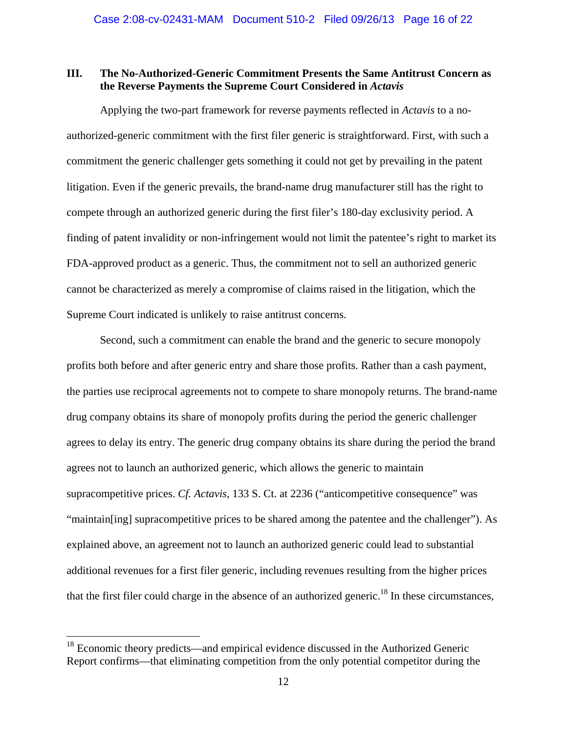## **III. The No-Authorized-Generic Commitment Presents the Same Antitrust Concern as the Reverse Payments the Supreme Court Considered in** *Actavis*

Applying the two-part framework for reverse payments reflected in *Actavis* to a noauthorized-generic commitment with the first filer generic is straightforward. First, with such a commitment the generic challenger gets something it could not get by prevailing in the patent litigation. Even if the generic prevails, the brand-name drug manufacturer still has the right to compete through an authorized generic during the first filer's 180-day exclusivity period. A finding of patent invalidity or non-infringement would not limit the patentee's right to market its FDA-approved product as a generic. Thus, the commitment not to sell an authorized generic cannot be characterized as merely a compromise of claims raised in the litigation, which the Supreme Court indicated is unlikely to raise antitrust concerns.

Second, such a commitment can enable the brand and the generic to secure monopoly profits both before and after generic entry and share those profits. Rather than a cash payment, the parties use reciprocal agreements not to compete to share monopoly returns. The brand-name drug company obtains its share of monopoly profits during the period the generic challenger agrees to delay its entry. The generic drug company obtains its share during the period the brand agrees not to launch an authorized generic, which allows the generic to maintain supracompetitive prices. *Cf. Actavis*, 133 S. Ct. at 2236 ("anticompetitive consequence" was "maintain[ing] supracompetitive prices to be shared among the patentee and the challenger"). As explained above, an agreement not to launch an authorized generic could lead to substantial additional revenues for a first filer generic, including revenues resulting from the higher prices that the first filer could charge in the absence of an authorized generic.<sup>18</sup> In these circumstances,

 $18$  Economic theory predicts—and empirical evidence discussed in the Authorized Generic Report confirms—that eliminating competition from the only potential competitor during the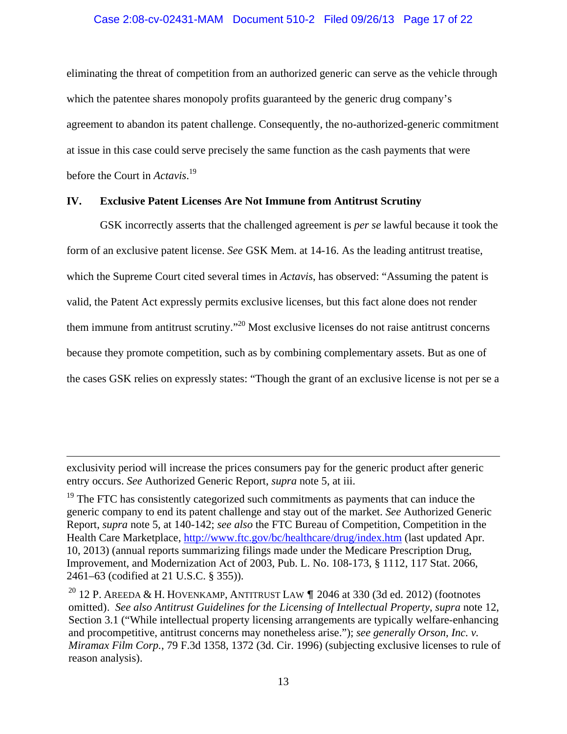## Case 2:08-cv-02431-MAM Document 510-2 Filed 09/26/13 Page 17 of 22

eliminating the threat of competition from an authorized generic can serve as the vehicle through which the patentee shares monopoly profits guaranteed by the generic drug company's agreement to abandon its patent challenge. Consequently, the no-authorized-generic commitment at issue in this case could serve precisely the same function as the cash payments that were before the Court in *Actavis*. 19

## **IV. Exclusive Patent Licenses Are Not Immune from Antitrust Scrutiny**

GSK incorrectly asserts that the challenged agreement is *per se* lawful because it took the form of an exclusive patent license. *See* GSK Mem. at 14-16. As the leading antitrust treatise, which the Supreme Court cited several times in *Actavis*, has observed: "Assuming the patent is valid, the Patent Act expressly permits exclusive licenses, but this fact alone does not render them immune from antitrust scrutiny."20 Most exclusive licenses do not raise antitrust concerns because they promote competition, such as by combining complementary assets. But as one of the cases GSK relies on expressly states: "Though the grant of an exclusive license is not per se a

exclusivity period will increase the prices consumers pay for the generic product after generic entry occurs. *See* Authorized Generic Report, *supra* note 5, at iii.

1

 $19$  The FTC has consistently categorized such commitments as payments that can induce the generic company to end its patent challenge and stay out of the market. *See* Authorized Generic Report, *supra* note 5, at 140-142; *see also* the FTC Bureau of Competition, Competition in the Health Care Marketplace, http://www.ftc.gov/bc/healthcare/drug/index.htm (last updated Apr. 10, 2013) (annual reports summarizing filings made under the Medicare Prescription Drug, Improvement, and Modernization Act of 2003, Pub. L. No. 108-173, § 1112, 117 Stat. 2066, 2461–63 (codified at 21 U.S.C. § 355)).

<sup>20</sup> 12 P. AREEDA & H. HOVENKAMP, ANTITRUST LAW  $\P$  2046 at 330 (3d ed. 2012) (footnotes omitted). *See also Antitrust Guidelines for the Licensing of Intellectual Property*, *supra* note 12, Section 3.1 ("While intellectual property licensing arrangements are typically welfare-enhancing and procompetitive, antitrust concerns may nonetheless arise."); *see generally Orson, Inc. v. Miramax Film Corp.*, 79 F.3d 1358, 1372 (3d. Cir. 1996) (subjecting exclusive licenses to rule of reason analysis).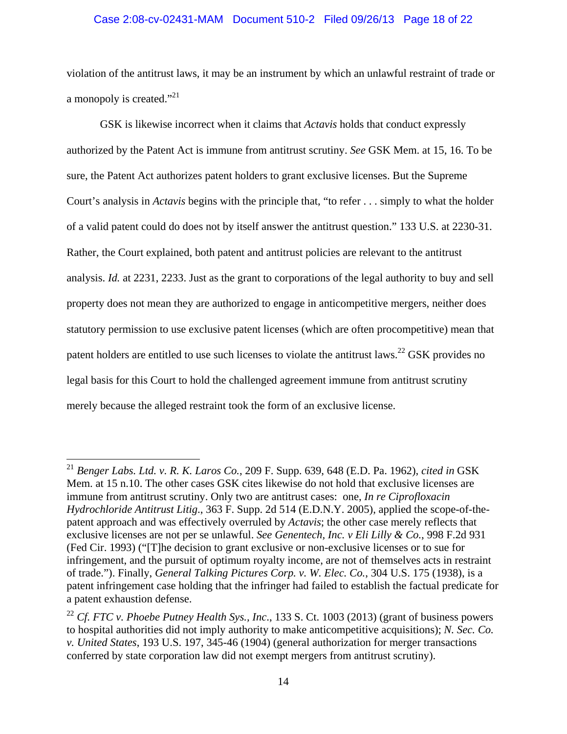### Case 2:08-cv-02431-MAM Document 510-2 Filed 09/26/13 Page 18 of 22

violation of the antitrust laws, it may be an instrument by which an unlawful restraint of trade or a monopoly is created."<sup>21</sup>

GSK is likewise incorrect when it claims that *Actavis* holds that conduct expressly authorized by the Patent Act is immune from antitrust scrutiny. *See* GSK Mem. at 15, 16. To be sure, the Patent Act authorizes patent holders to grant exclusive licenses. But the Supreme Court's analysis in *Actavis* begins with the principle that, "to refer . . . simply to what the holder of a valid patent could do does not by itself answer the antitrust question." 133 U.S. at 2230-31. Rather, the Court explained, both patent and antitrust policies are relevant to the antitrust analysis. *Id.* at 2231, 2233. Just as the grant to corporations of the legal authority to buy and sell property does not mean they are authorized to engage in anticompetitive mergers, neither does statutory permission to use exclusive patent licenses (which are often procompetitive) mean that patent holders are entitled to use such licenses to violate the antitrust laws.<sup>22</sup> GSK provides no legal basis for this Court to hold the challenged agreement immune from antitrust scrutiny merely because the alleged restraint took the form of an exclusive license.

<sup>21</sup> *Benger Labs. Ltd. v. R. K. Laros Co.*, 209 F. Supp. 639, 648 (E.D. Pa. 1962), *cited in* GSK Mem. at 15 n.10. The other cases GSK cites likewise do not hold that exclusive licenses are immune from antitrust scrutiny. Only two are antitrust cases: one, *In re Ciprofloxacin Hydrochloride Antitrust Litig*., 363 F. Supp. 2d 514 (E.D.N.Y. 2005), applied the scope-of-thepatent approach and was effectively overruled by *Actavis*; the other case merely reflects that exclusive licenses are not per se unlawful. *See Genentech, Inc. v Eli Lilly & Co.*, 998 F.2d 931 (Fed Cir. 1993) ("[T]he decision to grant exclusive or non-exclusive licenses or to sue for infringement, and the pursuit of optimum royalty income, are not of themselves acts in restraint of trade."). Finally, *General Talking Pictures Corp. v. W. Elec. Co.*, 304 U.S. 175 (1938), is a patent infringement case holding that the infringer had failed to establish the factual predicate for a patent exhaustion defense.

<sup>22</sup> *Cf. FTC v. Phoebe Putney Health Sys., Inc*., 133 S. Ct. 1003 (2013) (grant of business powers to hospital authorities did not imply authority to make anticompetitive acquisitions); *N. Sec. Co. v. United States*, 193 U.S. 197, 345-46 (1904) (general authorization for merger transactions conferred by state corporation law did not exempt mergers from antitrust scrutiny).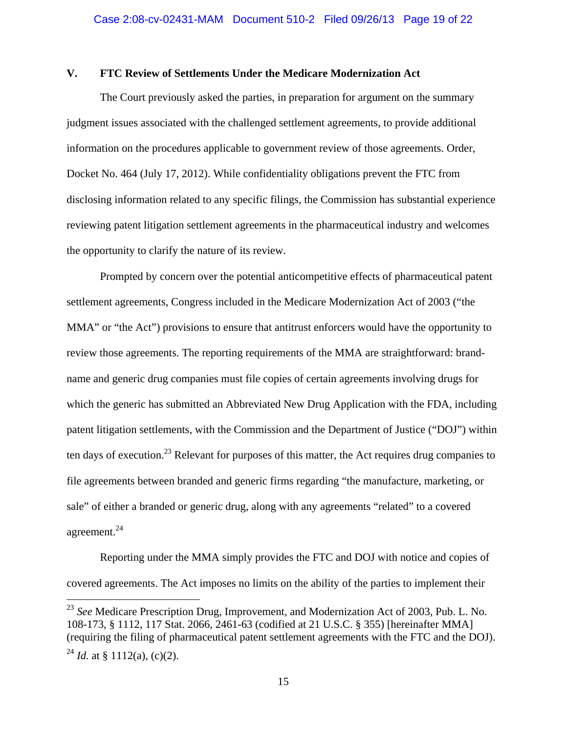# **V. FTC Review of Settlements Under the Medicare Modernization Act**

The Court previously asked the parties, in preparation for argument on the summary judgment issues associated with the challenged settlement agreements, to provide additional information on the procedures applicable to government review of those agreements. Order, Docket No. 464 (July 17, 2012). While confidentiality obligations prevent the FTC from disclosing information related to any specific filings, the Commission has substantial experience reviewing patent litigation settlement agreements in the pharmaceutical industry and welcomes the opportunity to clarify the nature of its review.

 Prompted by concern over the potential anticompetitive effects of pharmaceutical patent settlement agreements, Congress included in the Medicare Modernization Act of 2003 ("the MMA" or "the Act") provisions to ensure that antitrust enforcers would have the opportunity to review those agreements. The reporting requirements of the MMA are straightforward: brandname and generic drug companies must file copies of certain agreements involving drugs for which the generic has submitted an Abbreviated New Drug Application with the FDA, including patent litigation settlements, with the Commission and the Department of Justice ("DOJ") within ten days of execution.<sup>23</sup> Relevant for purposes of this matter, the Act requires drug companies to file agreements between branded and generic firms regarding "the manufacture, marketing, or sale" of either a branded or generic drug, along with any agreements "related" to a covered agreement.24

Reporting under the MMA simply provides the FTC and DOJ with notice and copies of covered agreements. The Act imposes no limits on the ability of the parties to implement their

1

<sup>23</sup> *See* Medicare Prescription Drug, Improvement, and Modernization Act of 2003, Pub. L. No. 108-173, § 1112, 117 Stat. 2066, 2461-63 (codified at 21 U.S.C. § 355) [hereinafter MMA] (requiring the filing of pharmaceutical patent settlement agreements with the FTC and the DOJ). <sup>24</sup> *Id.* at § 1112(a), (c)(2).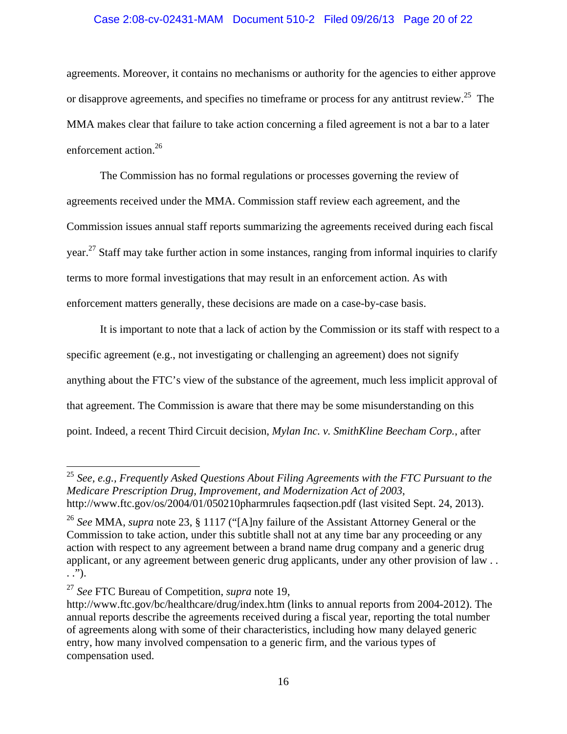### Case 2:08-cv-02431-MAM Document 510-2 Filed 09/26/13 Page 20 of 22

agreements. Moreover, it contains no mechanisms or authority for the agencies to either approve or disapprove agreements, and specifies no timeframe or process for any antitrust review.<sup>25</sup> The MMA makes clear that failure to take action concerning a filed agreement is not a bar to a later enforcement action.26

The Commission has no formal regulations or processes governing the review of agreements received under the MMA. Commission staff review each agreement, and the Commission issues annual staff reports summarizing the agreements received during each fiscal year.<sup>27</sup> Staff may take further action in some instances, ranging from informal inquiries to clarify terms to more formal investigations that may result in an enforcement action. As with enforcement matters generally, these decisions are made on a case-by-case basis.

It is important to note that a lack of action by the Commission or its staff with respect to a specific agreement (e.g., not investigating or challenging an agreement) does not signify anything about the FTC's view of the substance of the agreement, much less implicit approval of that agreement. The Commission is aware that there may be some misunderstanding on this point. Indeed, a recent Third Circuit decision, *Mylan Inc. v. SmithKline Beecham Corp.*, after

<sup>25</sup> *See, e.g., Frequently Asked Questions About Filing Agreements with the FTC Pursuant to the Medicare Prescription Drug, Improvement, and Modernization Act of 2003*, http://www.ftc.gov/os/2004/01/050210pharmrules faqsection.pdf (last visited Sept. 24, 2013).

<sup>26</sup> *See* MMA, *supra* note 23, § 1117 ("[A]ny failure of the Assistant Attorney General or the Commission to take action, under this subtitle shall not at any time bar any proceeding or any action with respect to any agreement between a brand name drug company and a generic drug applicant, or any agreement between generic drug applicants, under any other provision of law . . . .").

<sup>27</sup> *See* FTC Bureau of Competition, *supra* note 19,

http://www.ftc.gov/bc/healthcare/drug/index.htm (links to annual reports from 2004-2012). The annual reports describe the agreements received during a fiscal year, reporting the total number of agreements along with some of their characteristics, including how many delayed generic entry, how many involved compensation to a generic firm, and the various types of compensation used.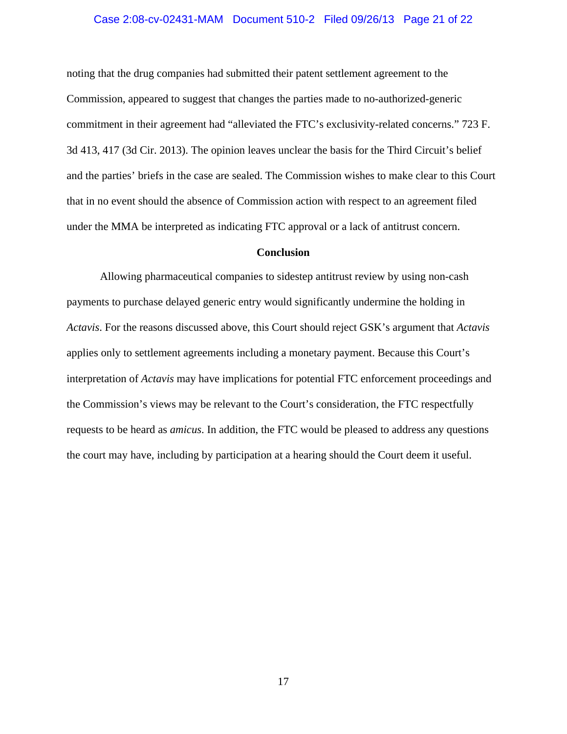### Case 2:08-cv-02431-MAM Document 510-2 Filed 09/26/13 Page 21 of 22

noting that the drug companies had submitted their patent settlement agreement to the Commission, appeared to suggest that changes the parties made to no-authorized-generic commitment in their agreement had "alleviated the FTC's exclusivity-related concerns." 723 F. 3d 413, 417 (3d Cir. 2013). The opinion leaves unclear the basis for the Third Circuit's belief and the parties' briefs in the case are sealed. The Commission wishes to make clear to this Court that in no event should the absence of Commission action with respect to an agreement filed under the MMA be interpreted as indicating FTC approval or a lack of antitrust concern.

#### **Conclusion**

Allowing pharmaceutical companies to sidestep antitrust review by using non-cash payments to purchase delayed generic entry would significantly undermine the holding in *Actavis*. For the reasons discussed above, this Court should reject GSK's argument that *Actavis*  applies only to settlement agreements including a monetary payment. Because this Court's interpretation of *Actavis* may have implications for potential FTC enforcement proceedings and the Commission's views may be relevant to the Court's consideration, the FTC respectfully requests to be heard as *amicus*. In addition, the FTC would be pleased to address any questions the court may have, including by participation at a hearing should the Court deem it useful.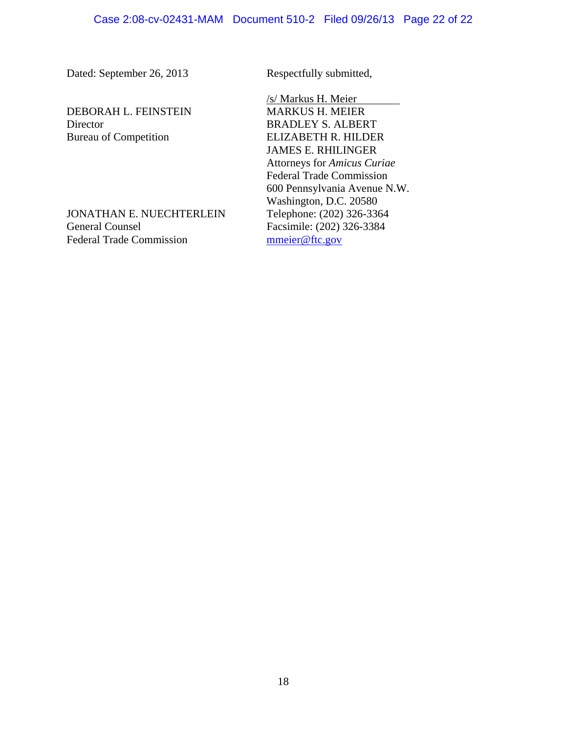Dated: September 26, 2013 Respectfully submitted,

DEBORAH L. FEINSTEIN MARKUS H. MEIER Director BRADLEY S. ALBERT Bureau of Competition ELIZABETH R. HILDER

JONATHAN E. NUECHTERLEIN Telephone: (202) 326-3364 General Counsel Facsimile: (202) 326-3384 Federal Trade Commission municipal municipal municipal municipal municipal municipal municipal municipal municipal municipal municipal municipal municipal municipal municipal municipal municipal municipal municipal municip

 /s/ Markus H. Meier JAMES E. RHILINGER Attorneys for *Amicus Curiae* Federal Trade Commission 600 Pennsylvania Avenue N.W. Washington, D.C. 20580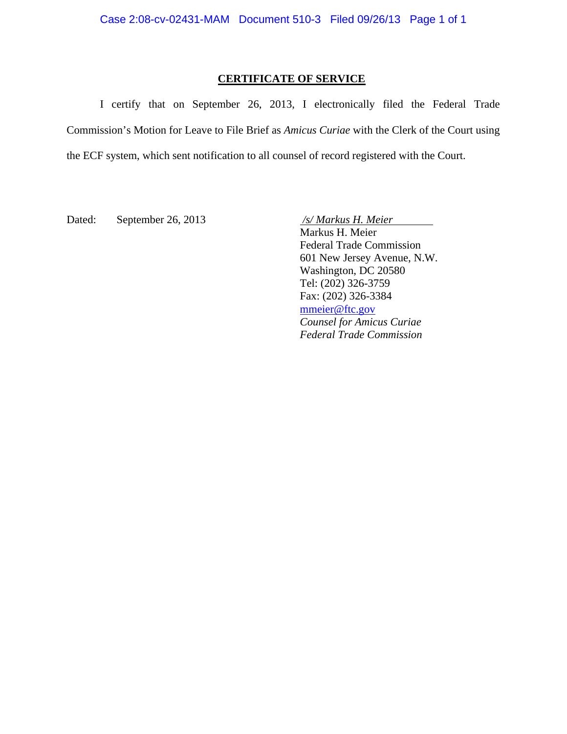# **CERTIFICATE OF SERVICE**

I certify that on September 26, 2013, I electronically filed the Federal Trade Commission's Motion for Leave to File Brief as *Amicus Curiae* with the Clerk of the Court using the ECF system, which sent notification to all counsel of record registered with the Court.

Dated: September 26, 2013 */s/ Markus H. Meier* 

 Markus H. Meier Federal Trade Commission 601 New Jersey Avenue, N.W. Washington, DC 20580

Tel: (202) 326-3759 Fax: (202) 326-3384 mmeier@ftc.gov *Counsel for Amicus Curiae Federal Trade Commission*